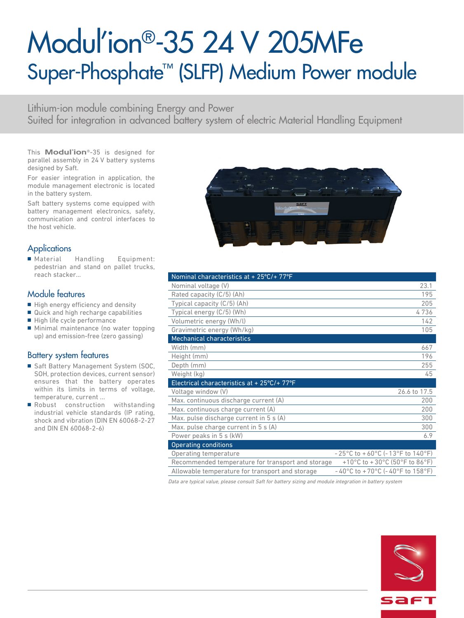# Modul'ion®-35 24 V 205MFe Super-Phosphate™ (SLFP) Medium Power module

Lithium-ion module combining Energy and Power Suited for integration in advanced battery system of electric Material Handling Equipment

This **Modul'ion**®-35 is designed for parallel assembly in 24 V battery systems designed by Saft.

For easier integration in application, the module management electronic is located in the battery system.

Saft battery systems come equipped with battery management electronics, safety, communication and control interfaces to the host vehicle.

# **Applications**

■ Material Handling Equipment: pedestrian and stand on pallet trucks, reach stacker...

### Module features

- High energy efficiency and density
- Quick and high recharge capabilities
- High life cycle performance
- Minimal maintenance (no water topping up) and emission-free (zero gassing)

### Battery system features

- Saft Battery Management System (SOC, SOH, protection devices, current sensor) ensures that the battery operates within its limits in terms of voltage, temperature, current ...
- Robust construction withstanding industrial vehicle standards (IP rating, shock and vibration (DIN EN 60068-2-27 and DIN EN 60068-2-6)



| Nominal characteristics at + 25°C/+ 77°F          |                                                                            |
|---------------------------------------------------|----------------------------------------------------------------------------|
| Nominal voltage (V)                               | 23.1                                                                       |
| Rated capacity (C/5) (Ah)                         | 195                                                                        |
| Typical capacity (C/5) (Ah)                       | 205                                                                        |
| Typical energy (C/5) (Wh)                         | 4736                                                                       |
| Volumetric energy (Wh/l)                          | 142                                                                        |
| Gravimetric energy (Wh/kg)                        | 105                                                                        |
| <b>Mechanical characteristics</b>                 |                                                                            |
| Width (mm)                                        | 667                                                                        |
| Height (mm)                                       | 196                                                                        |
| Depth (mm)                                        | 255                                                                        |
| Weight (kg)                                       | 45                                                                         |
| Electrical characteristics at + 25°C/+ 77°F       |                                                                            |
| Voltage window (V)                                | 26.6 to 17.5                                                               |
| Max. continuous discharge current (A)             | 200                                                                        |
| Max. continuous charge current (A)                | 200                                                                        |
| Max. pulse discharge current in 5 s (A)           | 300                                                                        |
| Max. pulse charge current in 5 s (A)              | 300                                                                        |
| Power peaks in 5 s (kW)                           | 6.9                                                                        |
| <b>Operating conditions</b>                       |                                                                            |
| Operating temperature                             | $-25^{\circ}$ C to $+60^{\circ}$ C (-13°F to 140°F)                        |
| Recommended temperature for transport and storage | +10°C to +30°C (50°F to 86°F)                                              |
| Allowable temperature for transport and storage   | $-40^{\circ}$ C to +70 $^{\circ}$ C (-40 $^{\circ}$ F to 158 $^{\circ}$ F) |

Data are typical value, please consult Saft for battery sizing and module integration in battery system